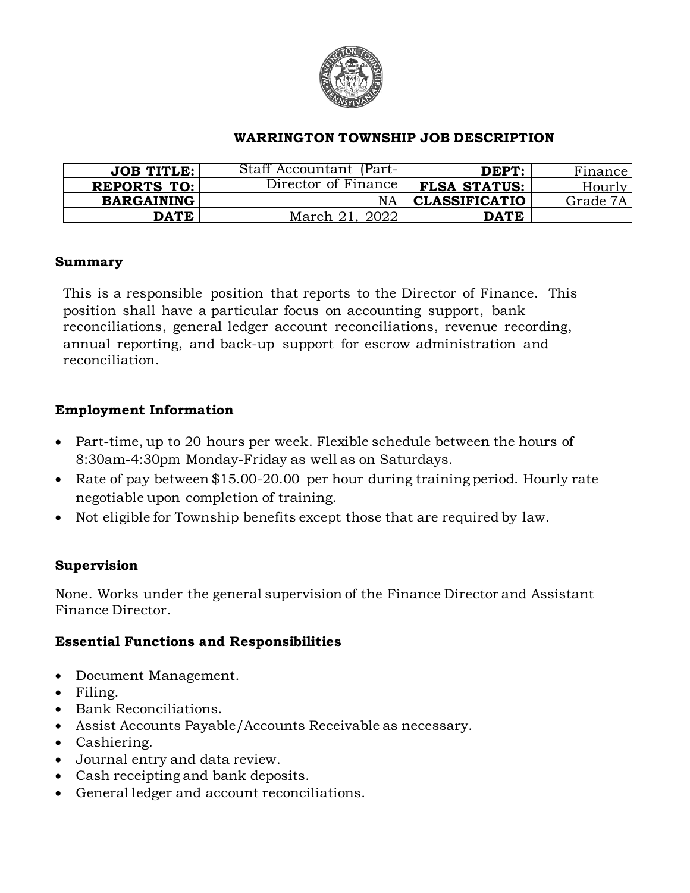

#### **WARRINGTON TOWNSHIP JOB DESCRIPTION**

| JOB TITLE:         | Staff Accountant (Part- | DEPT:                | Finance  |
|--------------------|-------------------------|----------------------|----------|
| <b>REPORTS TO:</b> | Director of Finance     | <b>FLSA STATUS:</b>  | Hourly   |
| <b>BARGAINING</b>  | NA                      | <b>CLASSIFICATIO</b> | Grade 7A |
| <b>DATE</b>        | March 21<br>2022        | <b>DATE</b>          |          |

#### **Summary**

This is a responsible position that reports to the Director of Finance. This position shall have a particular focus on accounting support, bank reconciliations, general ledger account reconciliations, revenue recording, annual reporting, and back-up support for escrow administration and reconciliation.

#### **Employment Information**

- Part-time, up to 20 hours per week. Flexible schedule between the hours of 8:30am-4:30pm Monday-Friday as well as on Saturdays.
- Rate of pay between \$15.00-20.00 per hour during training period. Hourly rate negotiable upon completion of training.
- Not eligible for Township benefits except those that are required by law.

#### **Supervision**

None. Works under the general supervision of the Finance Director and Assistant Finance Director.

### **Essential Functions and Responsibilities**

- Document Management.
- Filing.
- Bank Reconciliations.
- Assist Accounts Payable/Accounts Receivable as necessary.
- Cashiering.
- Journal entry and data review.
- Cash receipting and bank deposits.
- General ledger and account reconciliations.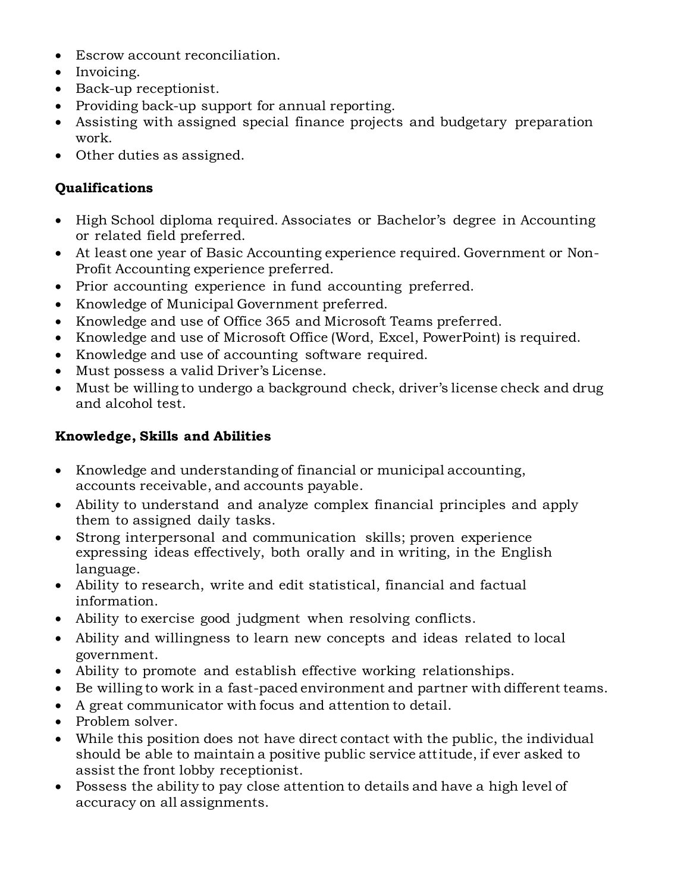- Escrow account reconciliation.
- Invoicing.
- Back-up receptionist.
- Providing back-up support for annual reporting.
- Assisting with assigned special finance projects and budgetary preparation work.
- Other duties as assigned.

## **Qualifications**

- High School diploma required. Associates or Bachelor's degree in Accounting or related field preferred.
- At least one year of Basic Accounting experience required. Government or Non-Profit Accounting experience preferred.
- Prior accounting experience in fund accounting preferred.
- Knowledge of Municipal Government preferred.
- Knowledge and use of Office 365 and Microsoft Teams preferred.
- Knowledge and use of Microsoft Office (Word, Excel, PowerPoint) is required.
- Knowledge and use of accounting software required.
- Must possess a valid Driver's License.
- Must be willing to undergo a background check, driver's license check and drug and alcohol test.

## **Knowledge, Skills and Abilities**

- Knowledge and understanding of financial or municipal accounting, accounts receivable, and accounts payable.
- Ability to understand and analyze complex financial principles and apply them to assigned daily tasks.
- Strong interpersonal and communication skills; proven experience expressing ideas effectively, both orally and in writing, in the English language.
- Ability to research, write and edit statistical, financial and factual information.
- Ability to exercise good judgment when resolving conflicts.
- Ability and willingness to learn new concepts and ideas related to local government.
- Ability to promote and establish effective working relationships.
- Be willing to work in a fast-paced environment and partner with different teams.
- A great communicator with focus and attention to detail.
- Problem solver.
- While this position does not have direct contact with the public, the individual should be able to maintain a positive public service attitude, if ever asked to assist the front lobby receptionist.
- Possess the ability to pay close attention to details and have a high level of accuracy on all assignments.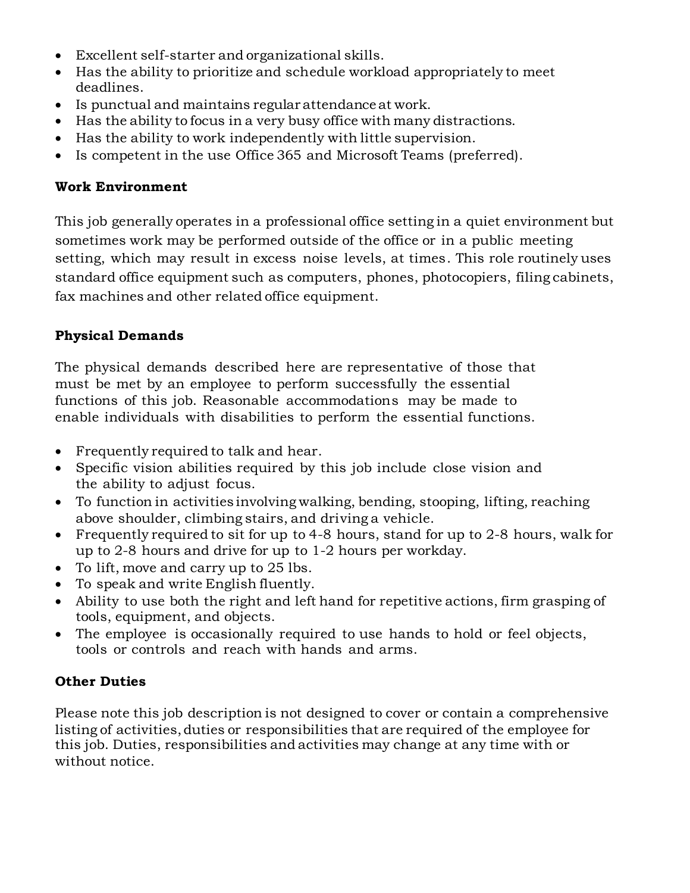- Excellent self-starter and organizational skills.
- Has the ability to prioritize and schedule workload appropriately to meet deadlines.
- Is punctual and maintains regular attendance at work.
- Has the ability to focus in a very busy office with many distractions.
- Has the ability to work independently with little supervision.
- Is competent in the use Office 365 and Microsoft Teams (preferred).

### **Work Environment**

This job generally operates in a professional office setting in a quiet environment but sometimes work may be performed outside of the office or in a public meeting setting, which may result in excess noise levels, at times. This role routinely uses standard office equipment such as computers, phones, photocopiers, filing cabinets, fax machines and other related office equipment.

# **Physical Demands**

The physical demands described here are representative of those that must be met by an employee to perform successfully the essential functions of this job. Reasonable accommodations may be made to enable individuals with disabilities to perform the essential functions.

- Frequently required to talk and hear.
- Specific vision abilities required by this job include close vision and the ability to adjust focus.
- To function in activities involving walking, bending, stooping, lifting, reaching above shoulder, climbing stairs, and driving a vehicle.
- Frequently required to sit for up to 4-8 hours, stand for up to 2-8 hours, walk for up to 2-8 hours and drive for up to 1-2 hours per workday.
- To lift, move and carry up to 25 lbs.
- To speak and write English fluently.
- Ability to use both the right and left hand for repetitive actions, firm grasping of tools, equipment, and objects.
- The employee is occasionally required to use hands to hold or feel objects, tools or controls and reach with hands and arms.

# **Other Duties**

Please note this job description is not designed to cover or contain a comprehensive listing of activities, duties or responsibilities that are required of the employee for this job. Duties, responsibilities and activities may change at any time with or without notice.